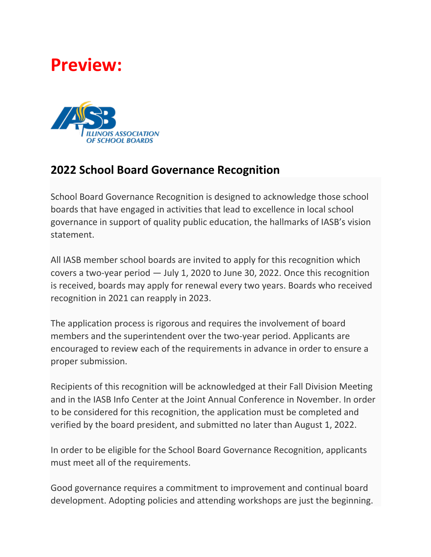# **Preview:**



# **2022 School Board Governance Recognition**

School Board Governance Recognition is designed to acknowledge those school boards that have engaged in activities that lead to excellence in local school governance in support of quality public education, the hallmarks of IASB's vision statement.

All IASB member school boards are invited to apply for this recognition which covers a two-year period — July 1, 2020 to June 30, 2022. Once this recognition is received, boards may apply for renewal every two years. Boards who received recognition in 2021 can reapply in 2023.

The application process is rigorous and requires the involvement of board members and the superintendent over the two-year period. Applicants are encouraged to review each of the requirements in advance in order to ensure a proper submission.

Recipients of this recognition will be acknowledged at their Fall Division Meeting and in the IASB Info Center at the Joint Annual Conference in November. In order to be considered for this recognition, the application must be completed and verified by the board president, and submitted no later than August 1, 2022.

In order to be eligible for the School Board Governance Recognition, applicants must meet all of the requirements.

Good governance requires a commitment to improvement and continual board development. Adopting policies and attending workshops are just the beginning.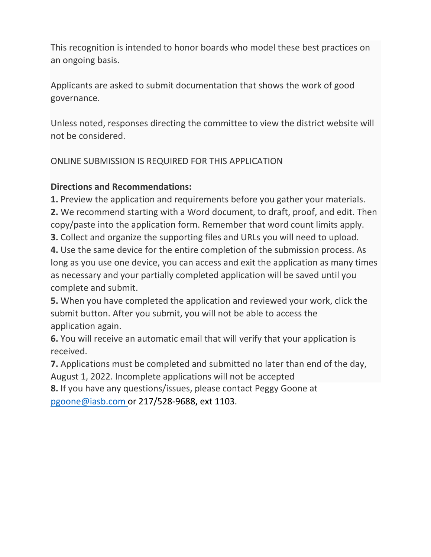This recognition is intended to honor boards who model these best practices on an ongoing basis.

Applicants are asked to submit documentation that shows the work of good governance.

Unless noted, responses directing the committee to view the district website will not be considered.

ONLINE SUBMISSION IS REQUIRED FOR THIS APPLICATION

# **Directions and Recommendations:**

**1.** Preview the application and requirements before you gather your materials.

**2.** We recommend starting with a Word document, to draft, proof, and edit. Then copy/paste into the application form. Remember that word count limits apply.

**3.** Collect and organize the supporting files and URLs you will need to upload.

**4.** Use the same device for the entire completion of the submission process. As long as you use one device, you can access and exit the application as many times as necessary and your partially completed application will be saved until you complete and submit.

**5.** When you have completed the application and reviewed your work, click the submit button. After you submit, you will not be able to access the application again.

**6.** You will receive an automatic email that will verify that your application is received.

**7.** Applications must be completed and submitted no later than end of the day, August 1, 2022. Incomplete applications will not be accepted

**8.** If you have any questions/issues, please contact Peggy Goone at [pgoone@iasb.com](mailto:pgoone@iasb.com) or 217/528-9688, ext 1103.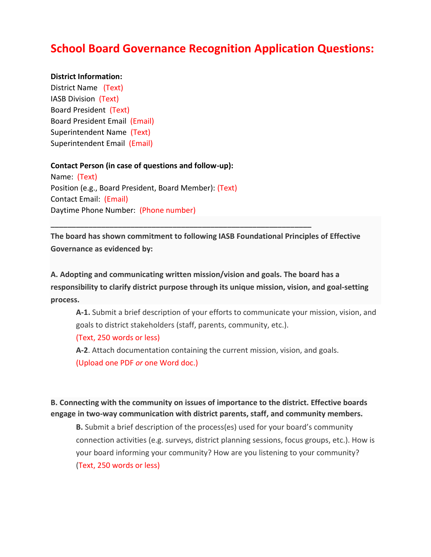# **School Board Governance Recognition Application Questions:**

#### **District Information:**

District Name (Text) IASB Division (Text) Board President (Text) Board President Email (Email) Superintendent Name (Text) Superintendent Email (Email)

#### **Contact Person (in case of questions and follow-up):**

Name: (Text) Position (e.g., Board President, Board Member): (Text) Contact Email: (Email) Daytime Phone Number: (Phone number)

**The board has shown commitment to following IASB Foundational Principles of Effective Governance as evidenced by:**

**\_\_\_\_\_\_\_\_\_\_\_\_\_\_\_\_\_\_\_\_\_\_\_\_\_\_\_\_\_\_\_\_\_\_\_\_\_\_\_\_\_\_\_\_\_\_\_\_\_\_\_\_\_\_\_\_\_\_\_\_\_\_**

**A. Adopting and communicating written mission/vision and goals. The board has a responsibility to clarify district purpose through its unique mission, vision, and goal-setting process.**

**A-1.** Submit a brief description of your efforts to communicate your mission, vision, and goals to district stakeholders (staff, parents, community, etc.).

(Text, 250 words or less)

**A-2**. Attach documentation containing the current mission, vision, and goals. (Upload one PDF *or* one Word doc.)

**B. Connecting with the community on issues of importance to the district. Effective boards engage in two-way communication with district parents, staff, and community members.**

**B.** Submit a brief description of the process(es) used for your board's community connection activities (e.g. surveys, district planning sessions, focus groups, etc.). How is your board informing your community? How are you listening to your community? (Text, 250 words or less)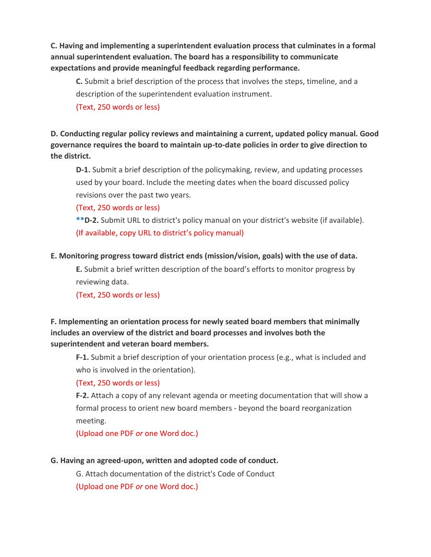**C. Having and implementing a superintendent evaluation process that culminates in a formal annual superintendent evaluation. The board has a responsibility to communicate expectations and provide meaningful feedback regarding performance.**

**C.** Submit a brief description of the process that involves the steps, timeline, and a description of the superintendent evaluation instrument.

(Text, 250 words or less)

**D. Conducting regular policy reviews and maintaining a current, updated policy manual. Good governance requires the board to maintain up-to-date policies in order to give direction to the district.**

**D-1.** Submit a brief description of the policymaking, review, and updating processes used by your board. Include the meeting dates when the board discussed policy revisions over the past two years.

# (Text, 250 words or less)

**\*\*D-2.** Submit URL to district's policy manual on your district's website (if available). (If available, copy URL to district's policy manual)

#### **E. Monitoring progress toward district ends (mission/vision, goals) with the use of data.**

**E.** Submit a brief written description of the board's efforts to monitor progress by reviewing data.

(Text, 250 words or less)

**F. Implementing an orientation process for newly seated board members that minimally includes an overview of the district and board processes and involves both the superintendent and veteran board members.**

**F-1.** Submit a brief description of your orientation process (e.g., what is included and who is involved in the orientation).

# (Text, 250 words or less)

**F-2.** Attach a copy of any relevant agenda or meeting documentation that will show a formal process to orient new board members - beyond the board reorganization meeting.

(Upload one PDF *or* one Word doc.)

# **G. Having an agreed-upon, written and adopted code of conduct.**

G. Attach documentation of the district's Code of Conduct (Upload one PDF *or* one Word doc.)